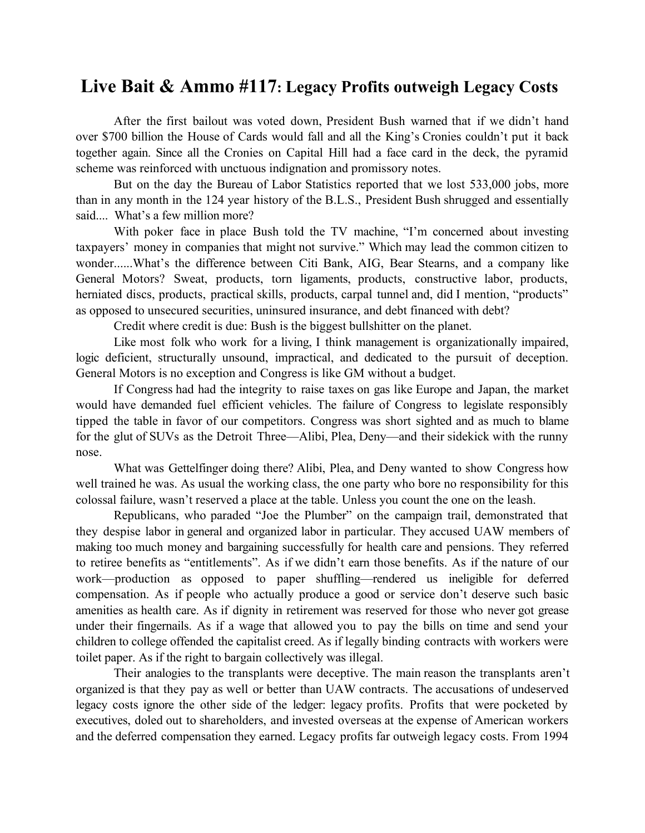## **Live Bait & Ammo #117: Legacy Profits outweigh Legacy Costs**

After the first bailout was voted down, President Bush warned that if we didn't hand over \$700 billion the House of Cards would fall and all the King's Cronies couldn't put it back together again. Since all the Cronies on Capital Hill had a face card in the deck, the pyramid scheme was reinforced with unctuous indignation and promissory notes.

But on the day the Bureau of Labor Statistics reported that we lost 533,000 jobs, more than in any month in the 124 year history of the B.L.S., President Bush shrugged and essentially said.... What's a few million more?

With poker face in place Bush told the TV machine, "I'm concerned about investing taxpayers' money in companies that might not survive." Which may lead the common citizen to wonder......What's the difference between Citi Bank, AIG, Bear Stearns, and a company like General Motors? Sweat, products, torn ligaments, products, constructive labor, products, herniated discs, products, practical skills, products, carpal tunnel and, did I mention, "products" as opposed to unsecured securities, uninsured insurance, and debt financed with debt?

Credit where credit is due: Bush is the biggest bullshitter on the planet.

Like most folk who work for a living, I think management is organizationally impaired, logic deficient, structurally unsound, impractical, and dedicated to the pursuit of deception. General Motors is no exception and Congress is like GM without a budget.

If Congress had had the integrity to raise taxes on gas like Europe and Japan, the market would have demanded fuel efficient vehicles. The failure of Congress to legislate responsibly tipped the table in favor of our competitors. Congress was short sighted and as much to blame for the glut of SUVs as the Detroit Three—Alibi, Plea, Deny—and their sidekick with the runny nose.

What was Gettelfinger doing there? Alibi, Plea, and Deny wanted to show Congress how well trained he was. As usual the working class, the one party who bore no responsibility for this colossal failure, wasn't reserved a place at the table. Unless you count the one on the leash.

Republicans, who paraded "Joe the Plumber" on the campaign trail, demonstrated that they despise labor in general and organized labor in particular. They accused UAW members of making too much money and bargaining successfully for health care and pensions. They referred to retiree benefits as "entitlements". As if we didn't earn those benefits. As if the nature of our work—production as opposed to paper shuffling—rendered us ineligible for deferred compensation. As if people who actually produce a good or service don't deserve such basic amenities as health care. As if dignity in retirement was reserved for those who never got grease under their fingernails. As if a wage that allowed you to pay the bills on time and send your children to college offended the capitalist creed. As if legally binding contracts with workers were toilet paper. As if the right to bargain collectively was illegal.

Their analogies to the transplants were deceptive. The main reason the transplants aren't organized is that they pay as well or better than UAW contracts. The accusations of undeserved legacy costs ignore the other side of the ledger: legacy profits. Profits that were pocketed by executives, doled out to shareholders, and invested overseas at the expense of American workers and the deferred compensation they earned. Legacy profits far outweigh legacy costs. From 1994